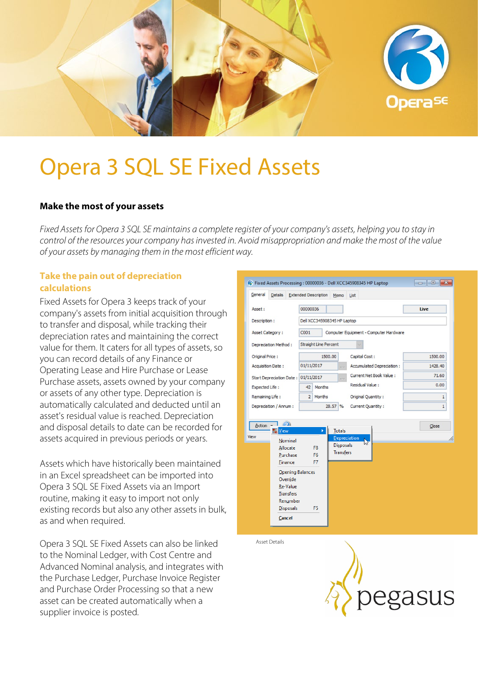

# Opera 3 SQL SE Fixed Assets

## **Make the most of your assets**

*Fixed Assets for Opera 3 SQL SE maintains a complete register of your company's assets, helping you to stay in control of the resources your company has invested in. Avoid misappropriation and make the most of the value of your assets by managing them in the most efficient way.*

# **Take the pain out of depreciation calculations**

Fixed Assets for Opera 3 keeps track of your company's assets from initial acquisition through to transfer and disposal, while tracking their depreciation rates and maintaining the correct value for them. It caters for all types of assets, so you can record details of any Finance or Operating Lease and Hire Purchase or Lease Purchase assets, assets owned by your company or assets of any other type. Depreciation is automatically calculated and deducted until an asset's residual value is reached. Depreciation and disposal details to date can be recorded for assets acquired in previous periods or years.

Assets which have historically been maintained in an Excel spreadsheet can be imported into Opera 3 SQL SE Fixed Assets via an Import routine, making it easy to import not only existing records but also any other assets in bulk, as and when required.

Opera 3 SQL SE Fixed Assets can also be linked to the Nominal Ledger, with Cost Centre and Advanced Nominal analysis, and integrates with the Purchase Ledger, Purchase Invoice Register and Purchase Order Processing so that a new asset can be created automatically when a supplier invoice is posted.

| General                  | <b>Details</b>                                                                                                                                     | <b>Extended Description</b>                          |    | Memo                                                           | List                                    |  |              |  |  |
|--------------------------|----------------------------------------------------------------------------------------------------------------------------------------------------|------------------------------------------------------|----|----------------------------------------------------------------|-----------------------------------------|--|--------------|--|--|
| Asset:                   |                                                                                                                                                    | 00000036                                             |    |                                                                |                                         |  | Live         |  |  |
| Description:             |                                                                                                                                                    | Dell XCC345908345 HP Laptop                          |    |                                                                |                                         |  |              |  |  |
| <b>Asset Category:</b>   |                                                                                                                                                    | C001<br>Computer Equipment - Computer Hardware       |    |                                                                |                                         |  |              |  |  |
| Depreciation Method:     |                                                                                                                                                    | Straight Line Percent                                |    |                                                                |                                         |  |              |  |  |
| Original Price:          |                                                                                                                                                    | 1500.00                                              |    |                                                                | Capital Cost:                           |  | 1500.00      |  |  |
| <b>Acquisition Date:</b> |                                                                                                                                                    | 01/11/2017<br>$\cdots$                               |    |                                                                | Accumulated Depreciation:               |  | 1428.40      |  |  |
|                          |                                                                                                                                                    | Start Depreciation Date: 01/11/2017<br>$\frac{1}{2}$ |    |                                                                | Current Net Book Value:                 |  | 71.60        |  |  |
| <b>Expected Life:</b>    |                                                                                                                                                    | Months<br>42                                         |    |                                                                | Residual Value:                         |  | 0.00         |  |  |
| Remaining Life:          |                                                                                                                                                    | 2 Months                                             |    |                                                                | Original Quantity:<br>Current Quantity: |  | $\mathbf{1}$ |  |  |
| Depreciation / Annum :   |                                                                                                                                                    | 28.57%                                               |    |                                                                |                                         |  | $\mathbf{1}$ |  |  |
| Action<br>View           | D)<br>View<br>Nominal<br>Allocate<br>Purchase<br><b>Finance</b><br>Opening Balances<br>Override<br><b>Re-Value</b><br><b>Transfers</b><br>Renumber | F <sub>8</sub><br>F <sub>6</sub><br>F7               | ¥. | <b>Totals</b><br>Depreciation<br>Disposals<br><b>Transfers</b> | hł                                      |  | Close        |  |  |
|                          | <b>Disposals</b><br><b>Cancel</b>                                                                                                                  | F5                                                   |    |                                                                |                                         |  |              |  |  |

Asset Details